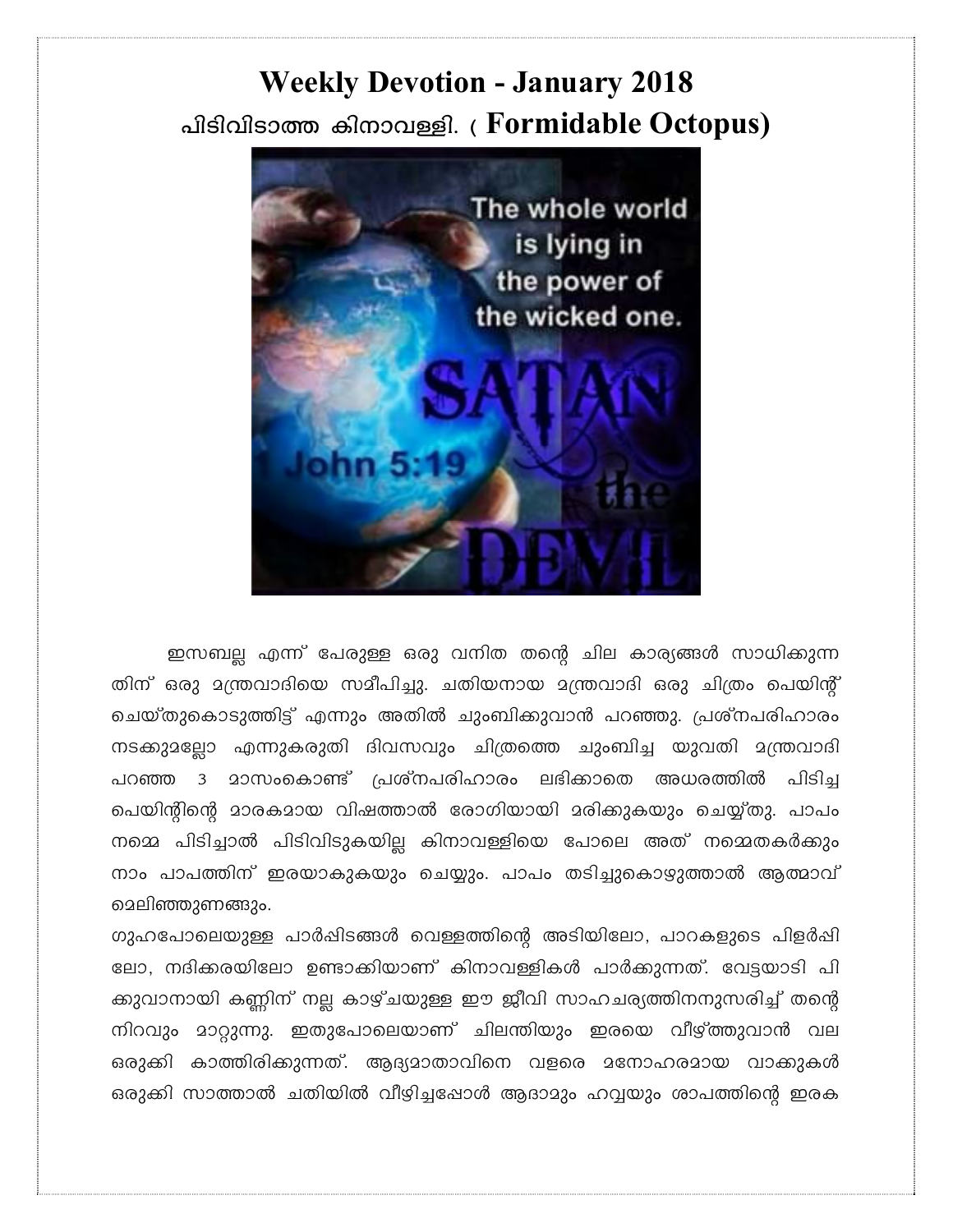## **Weekly Devotion - January 2018** പിടിവിടാത്ത കിനാവള്ളി. (Formidable Octopus)



ഇസബല്ല എന്ന് പേരുള്ള ഒരു വനിത തന്റെ ചില കാര്യങ്ങൾ സാധിക്കുന്ന തിന് ഒരു മന്ത്രവാദിയെ സമീപിച്ചു. ചതിയനായ മന്ത്രവാദി ഒരു ചിത്രം പെയിന്റ് ചെയ്തുകൊടുത്തിട്ട് എന്നും അതിൽ ചുംബിക്കുവാൻ പറഞ്ഞു. പ്രശ്നപരിഹാരം നടക്കുമല്ലോ എന്നുകരുതി ദിവസവും ചിത്രത്തെ ചുംബിച്ച യുവതി മന്ത്രവാദി പറഞ്ഞ 3 മാസംകൊണ്ട് പ്രശ്നപരിഹാരം ലഭിക്കാതെ അധരത്തിൽ പിടിച പെയിന്റിന്റെ മാരകമായ വിഷത്താൽ രോഗിയായി മരിക്കുകയും ചെയ്യ്തു. പാപം നമ്മെ പിടിച്ചാൽ പിടിവിടുകയില്ല കിനാവള്ളിയെ പോലെ അത് നമ്മെതകർക്കും നാം പാപത്തിന് ഇരയാകുകയും ചെയ്യും. പാപം തടിച്ചുകൊഴ്യുത്താൽ ആത്മാവ് മെലിഞ്ഞുണങ്ങും.

ഗുഹപോലെയുള്ള പാർഷിടങ്ങൾ വെള്ളത്തിന്റെ അടിയിലോ, പാറകളുടെ പിളർഷി ലോ, നദിക്കരയിലോ ഉണ്ടാക്കിയാണ് കിനാവള്ളികൾ പാർക്കുന്നത്. വേട്ടയാടി പി ക്കുവാനായി കണ്ണിന് നല്ല കാഴ്ചയുള്ള ഈ ജീവി സാഹചര്യത്തിനനുസരിച്ച് തന്റെ നിറവും മാറ്റുന്നു. ഇതുപോലെയാണ് ചിലന്തിയും ഇരയെ വീഴ്ത്തുവാൻ വല ഒരുക്കി കാത്തിരിക്കുന്നത്. ആദ്യമാതാവിനെ വളരെ മനോഹരമായ വാക്കുകൾ ഒരുക്കി സാത്താൽ ചതിയിൽ വീഴിച്ചപ്പോൾ ആദാമും ഹവ്വയും ശാപത്തിന്റെ ഇരക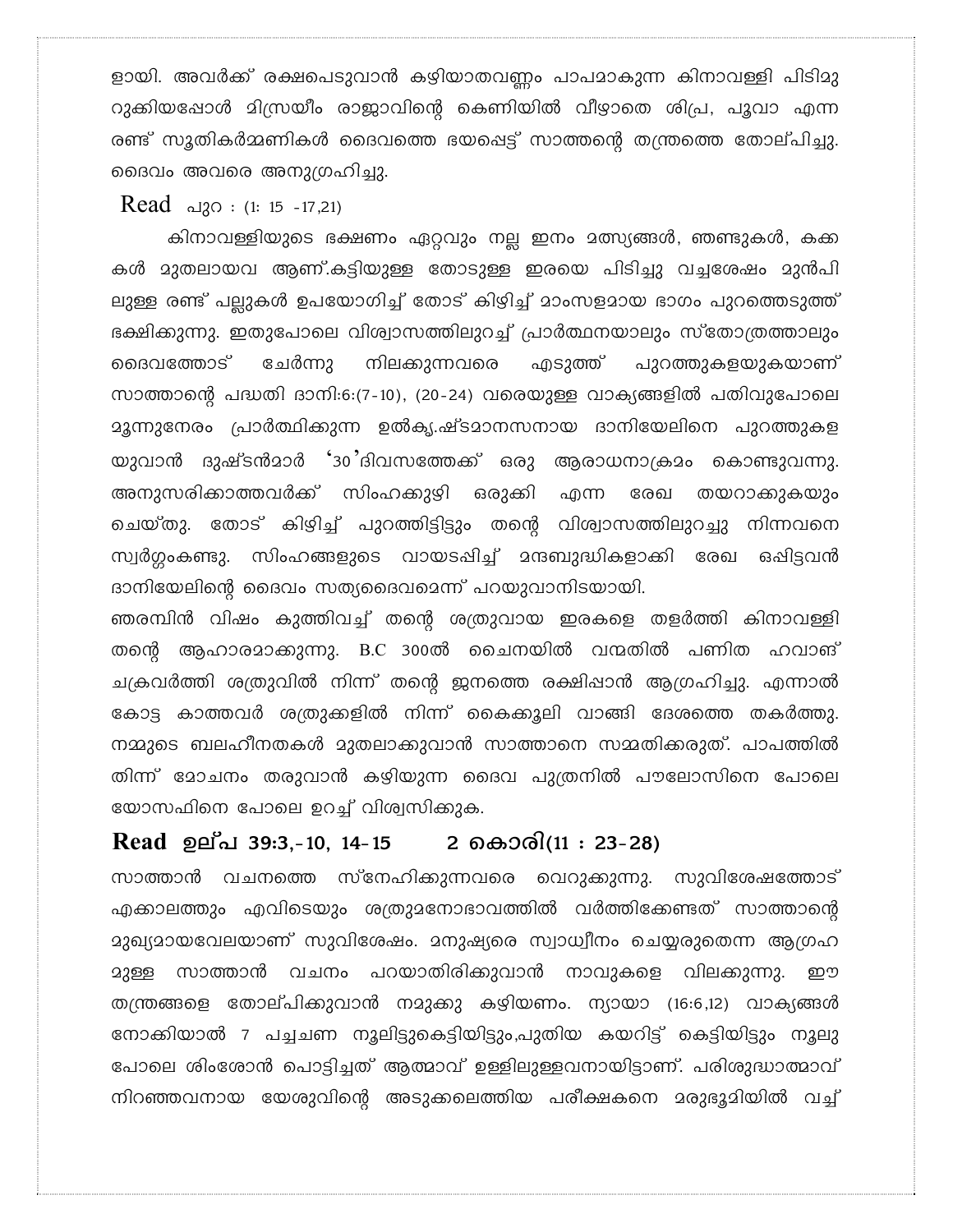ളായി. അവർക്ക് രക്ഷപെടുവാൻ കഴിയാതവണ്ണം പാപമാകുന്ന കിനാവള്ളി പിടിമു റുക്കിയപ്പോൾ മിസ്രയീം രാജാവിന്റെ കെണിയിൽ വീഴാതെ ശിപ്ര, പൂവാ എന്ന രണ്ട് സൂതികർമ്മണികൾ ദൈവത്തെ ഭയപ്പെട്ട് സാത്തന്റെ തന്ത്രത്തെ തോല്പിച്ചു. ദൈവം അവരെ അനുഗ്രഹിച്ചു.

Read  $\Delta 30 : (1: 15 - 17,21)$ 

കിനാവള്ളിയുടെ ഭക്ഷണം ഏറ്റവും നല്ല ഇനം മത്സ്യങ്ങൾ, ഞണ്ടുകൾ, കക്ക കൾ മുതലായവ ആണ്.കട്ടിയുള്ള തോടുള്ള ഇരയെ പിടിച്ചു വച്ചശേഷം മുൻപി ലുള്ള രണ്ട് പല്ലുകൾ ഉപയോഗിച്ച് തോട് കിഴിച്ച് മാംസളമായ ഭാഗം പുറത്തെടുത്ത് ഭക്ഷിക്കുന്നു. ഇതുപോലെ വിശ്വാസത്തിലുറച്ച് പ്രാർത്ഥനയാലും സ്തോത്രത്താലും എടുത്ത് മൈവത്തോട് ചേർന്നു നിലക്കുന്നവരെ പുറത്തുകളയുകയാണ് സാത്താന്റെ പദ്ധതി ദാനി:6:(7-10), (20-24) വരെയുള്ള വാക്യങ്ങളിൽ പതിവുപോലെ യുവാൻ ദുഷ്ടൻമാർ '30'ദിവസത്തേക്ക് ഒരു ആരാധനാക്രമം കൊണ്ടുവന്നു. അനുസരിക്കാത്തവർക്ക് സിംഹക്കുഴി ഒരുക്കി എന്ന രേഖ തയറാക്കുകയും ചെയ്തു. തോട് കിഴിച്ച് പുറത്തിട്ടിട്ടും തന്റെ വിശ്വാസത്തിലുറച്ചു നിന്നവനെ സ്വർഗ്ഗംകണ്ടു. സിംഹങ്ങളുടെ വായടപ്പിച്ച് മന്ദബുദ്ധികളാക്കി രേഖ ഒപ്പിട്ടവൻ ദാനിയേലിന്റെ ദൈവം സത്യദൈവമെന്ന് പറയുവാനിടയായി.

ഞരമ്പിൻ വിഷം കുത്തിവച്ച് തന്റെ ശത്രുവായ ഇരകളെ തളർത്തി കിനാവള്ളി തന്റെ ആഹാരമാക്കുന്നു. B.C 300ൽ ചൈനയിൽ വന്മതിൽ പണിത ഹവാങ് ചക്രവർത്തി ശത്രുവിൽ നിന്ന് തന്റെ ജനത്തെ രക്ഷിപ്പാൻ ആഗ്രഹിച്ചു. എന്നാൽ കോട്ട കാത്തവർ ശത്രുക്കളിൽ നിന്ന് കൈക്കൂലി വാങ്ങി ദേശത്തെ തകർത്തു. നമ്മുടെ ബലഹീനതകൾ മുതലാക്കുവാൻ സാത്താനെ സമ്മതിക്കരുത്. പാപത്തിൽ തിന്ന് മോചനം തരുവാൻ കഴിയുന്ന ദൈവ പുത്രനിൽ പൗലോസിനെ പോലെ യോസഫിനെ പോലെ ഉറച്ച് വിശ്വസിക്കുക.

## Read ഉല്പ 39:3,-10, 14-15 2 കൊരി(11 : 23-28)

സാത്താൻ വചനത്തെ സ്നേഹിക്കുന്നവരെ വെറുക്കുന്നു. സുവിശേഷത്തോട് എക്കാലത്തും എവിടെയും ശത്രുമനോഭാവത്തിൽ വർത്തിക്കേണ്ടത് സാത്താന്റെ <u> മുഖ്യമായവേലയാണ് സുവിശേഷം. മനുഷ്യരെ സ്വാധ്വീനം ചെയ്യരുതെന്ന ആഗ്രഹ</u> <u> മുള്ള</u> സാത്താൻ വചനം പറയാതിരിക്കുവാൻ നാവുകളെ വിലക്കുന്നു. றூ തന്ത്രങ്ങളെ തോല്പിക്കുവാൻ നമുക്കു കഴിയണം. ന്യായാ (16:6,12) വാക്യങ്ങൾ നോക്കിയാൽ 7 പച്ചചണ നൂലിട്ടുകെട്ടിയിട്ടും,പുതിയ കയറിട്ട് കെട്ടിയിട്ടും നൂലു പോലെ ശിംശോൻ പൊട്ടിച്ചത് ആത്മാവ് ഉള്ളിലുള്ളവനായിട്ടാണ്. പരിശുദ്ധാത്മാവ് നിറഞ്ഞവനായ യേശുവിന്റെ അടുക്കലെത്തിയ പരീക്ഷകനെ മരുഭൂമിയിൽ വച്ച്